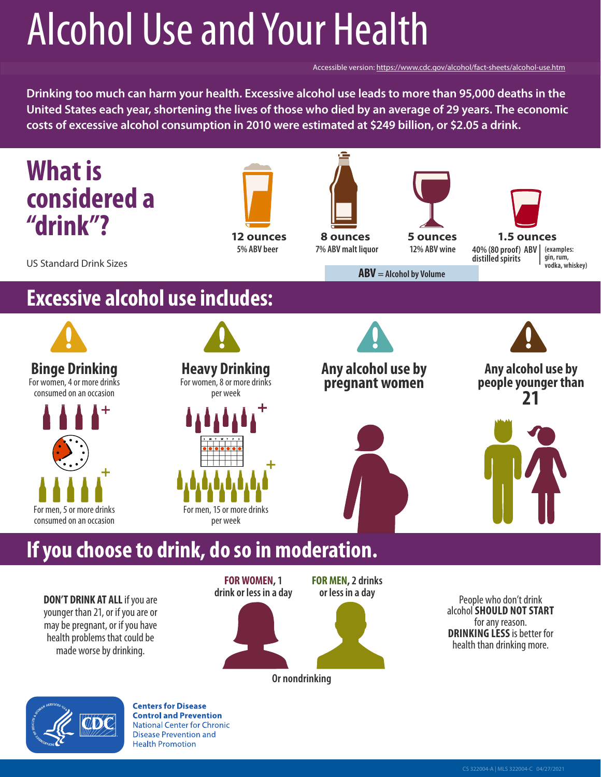# Alcohol Use and Your Health

Accessible version: <https://www.cdc.gov/alcohol/fact-sheets/alcohol-use.htm>

**Drinking too much can harm your health. Excessive alcohol use leads to more than 95,000 deaths in the United States each year, shortening the lives of those who died by an average of 29 years. The economic costs of excessive alcohol consumption in 2010 were estimated at \$249 billion, or \$2.05 a drink.**



**DON'T DRINK AT ALL** if you are younger than 21, or if you are or may be pregnant, or if you have health problems that could be made worse by drinking.

**FOR WOMEN, 1 drink or less in a day**



**Or nondrinking**

People who don't drink alcohol **SHOULD NOT START**  for any reason. **DRINKING LESS** is better for health than drinking more.



**Centers for Disease Control and Prevention National Center for Chronic Disease Prevention and Health Promotion**